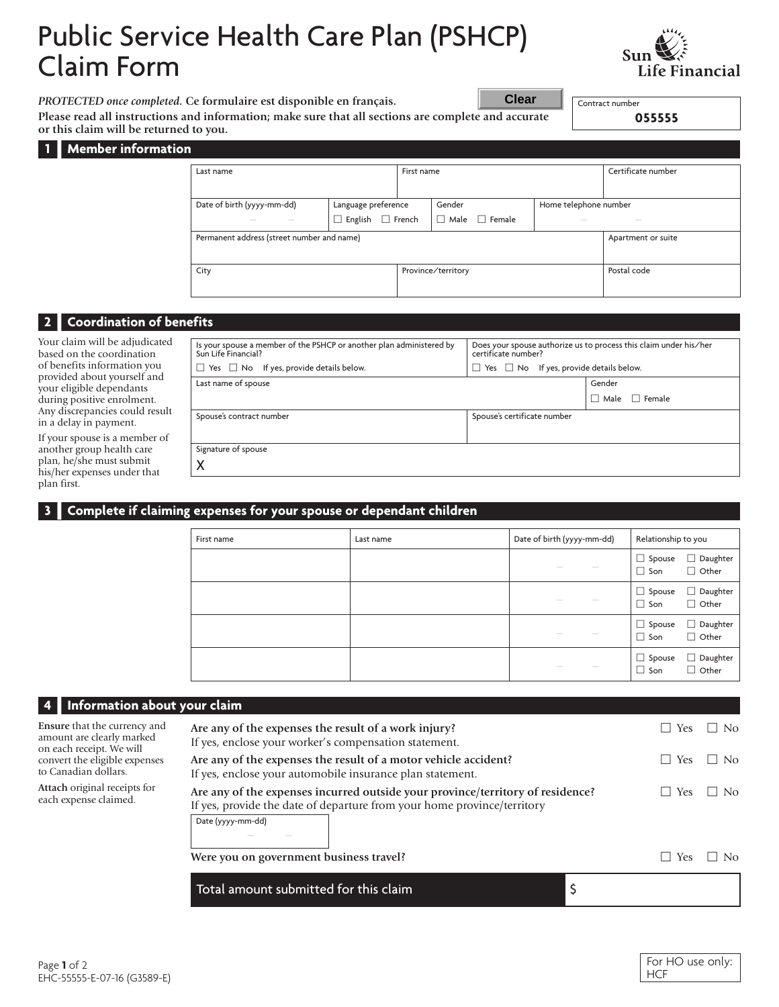# Public Service Health Care Plan (PSHCP) Claim Form



*PROTECTED once completed.* **Ce formulaire est disponible en français.**

**Please read all instructions and information; make sure that all sections are complete and accurate or this claim will be returned to you.**

**055555**

Contract number

**Member** information

| Last name                                                                                                                                                                                                                                                                                                                                                                                                                                                                            |                              | First name         |                           |  | Certificate number                                                                                                                                                                                                                                                                                                                                                                                                                                                         |                                                                                                                                                                                                                                                                                                                                                                                                                                                                            |
|--------------------------------------------------------------------------------------------------------------------------------------------------------------------------------------------------------------------------------------------------------------------------------------------------------------------------------------------------------------------------------------------------------------------------------------------------------------------------------------|------------------------------|--------------------|---------------------------|--|----------------------------------------------------------------------------------------------------------------------------------------------------------------------------------------------------------------------------------------------------------------------------------------------------------------------------------------------------------------------------------------------------------------------------------------------------------------------------|----------------------------------------------------------------------------------------------------------------------------------------------------------------------------------------------------------------------------------------------------------------------------------------------------------------------------------------------------------------------------------------------------------------------------------------------------------------------------|
|                                                                                                                                                                                                                                                                                                                                                                                                                                                                                      |                              |                    |                           |  |                                                                                                                                                                                                                                                                                                                                                                                                                                                                            |                                                                                                                                                                                                                                                                                                                                                                                                                                                                            |
|                                                                                                                                                                                                                                                                                                                                                                                                                                                                                      |                              |                    |                           |  |                                                                                                                                                                                                                                                                                                                                                                                                                                                                            |                                                                                                                                                                                                                                                                                                                                                                                                                                                                            |
| Date of birth (yyyy-mm-dd)                                                                                                                                                                                                                                                                                                                                                                                                                                                           | Language preference          |                    | Gender                    |  | Home telephone number                                                                                                                                                                                                                                                                                                                                                                                                                                                      |                                                                                                                                                                                                                                                                                                                                                                                                                                                                            |
| $\sim$<br>$\frac{1}{2} \left( \frac{1}{2} \right) \left( \frac{1}{2} \right) \left( \frac{1}{2} \right) \left( \frac{1}{2} \right) \left( \frac{1}{2} \right) \left( \frac{1}{2} \right) \left( \frac{1}{2} \right) \left( \frac{1}{2} \right) \left( \frac{1}{2} \right) \left( \frac{1}{2} \right) \left( \frac{1}{2} \right) \left( \frac{1}{2} \right) \left( \frac{1}{2} \right) \left( \frac{1}{2} \right) \left( \frac{1}{2} \right) \left( \frac{1}{2} \right) \left( \frac$ | $\Box$ English $\Box$ French |                    | $\Box$ Male $\Box$ Female |  | $\frac{1}{2} \left( \frac{1}{2} \right) \left( \frac{1}{2} \right) \left( \frac{1}{2} \right) \left( \frac{1}{2} \right) \left( \frac{1}{2} \right) \left( \frac{1}{2} \right) \left( \frac{1}{2} \right) \left( \frac{1}{2} \right) \left( \frac{1}{2} \right) \left( \frac{1}{2} \right) \left( \frac{1}{2} \right) \left( \frac{1}{2} \right) \left( \frac{1}{2} \right) \left( \frac{1}{2} \right) \left( \frac{1}{2} \right) \left( \frac{1}{2} \right) \left( \frac$ | $\frac{1}{2} \left( \frac{1}{2} \right) \left( \frac{1}{2} \right) \left( \frac{1}{2} \right) \left( \frac{1}{2} \right) \left( \frac{1}{2} \right) \left( \frac{1}{2} \right) \left( \frac{1}{2} \right) \left( \frac{1}{2} \right) \left( \frac{1}{2} \right) \left( \frac{1}{2} \right) \left( \frac{1}{2} \right) \left( \frac{1}{2} \right) \left( \frac{1}{2} \right) \left( \frac{1}{2} \right) \left( \frac{1}{2} \right) \left( \frac{1}{2} \right) \left( \frac$ |
| Permanent address (street number and name)                                                                                                                                                                                                                                                                                                                                                                                                                                           |                              |                    |                           |  |                                                                                                                                                                                                                                                                                                                                                                                                                                                                            | Apartment or suite                                                                                                                                                                                                                                                                                                                                                                                                                                                         |
|                                                                                                                                                                                                                                                                                                                                                                                                                                                                                      |                              |                    |                           |  |                                                                                                                                                                                                                                                                                                                                                                                                                                                                            |                                                                                                                                                                                                                                                                                                                                                                                                                                                                            |
|                                                                                                                                                                                                                                                                                                                                                                                                                                                                                      |                              |                    |                           |  |                                                                                                                                                                                                                                                                                                                                                                                                                                                                            |                                                                                                                                                                                                                                                                                                                                                                                                                                                                            |
| City                                                                                                                                                                                                                                                                                                                                                                                                                                                                                 |                              | Province/territory |                           |  | Postal code                                                                                                                                                                                                                                                                                                                                                                                                                                                                |                                                                                                                                                                                                                                                                                                                                                                                                                                                                            |
|                                                                                                                                                                                                                                                                                                                                                                                                                                                                                      |                              |                    |                           |  |                                                                                                                                                                                                                                                                                                                                                                                                                                                                            |                                                                                                                                                                                                                                                                                                                                                                                                                                                                            |
|                                                                                                                                                                                                                                                                                                                                                                                                                                                                                      |                              |                    |                           |  |                                                                                                                                                                                                                                                                                                                                                                                                                                                                            |                                                                                                                                                                                                                                                                                                                                                                                                                                                                            |

**Clear**

## **2** Coordination of benefits

Your claim will be adjudicated based on the coordination of benefits information you provided about yourself and your eligible dependants during positive enrolment. Any discrepancies could result in a delay in payment.

If your spouse is a member of another group health care plan, he/she must submit his/her expenses under that plan first.

| Is your spouse a member of the PSHCP or another plan administered by<br>Sun Life Financial?<br>$\Box$ Yes $\Box$ No If yes, provide details below. | Does your spouse authorize us to process this claim under his/her<br>certificate number?<br>$\Box$ Yes $\Box$ No If yes, provide details below. |  |  |
|----------------------------------------------------------------------------------------------------------------------------------------------------|-------------------------------------------------------------------------------------------------------------------------------------------------|--|--|
| Last name of spouse                                                                                                                                | Gender                                                                                                                                          |  |  |
|                                                                                                                                                    | $\Box$ Male $\Box$ Female                                                                                                                       |  |  |
| Spouse's contract number                                                                                                                           | Spouse's certificate number                                                                                                                     |  |  |
| Signature of spouse<br>X                                                                                                                           |                                                                                                                                                 |  |  |

## **3 I Complete if claiming expenses for your spouse or dependant children**

| First name | Last name | Date of birth (yyyy-mm-dd)                                                                                                                                                                                                                                                                                                                                                                                                                                                                                                                                                                                                                                                                                                                                                                                                                                                                                                                               | Relationship to you         |                                    |
|------------|-----------|----------------------------------------------------------------------------------------------------------------------------------------------------------------------------------------------------------------------------------------------------------------------------------------------------------------------------------------------------------------------------------------------------------------------------------------------------------------------------------------------------------------------------------------------------------------------------------------------------------------------------------------------------------------------------------------------------------------------------------------------------------------------------------------------------------------------------------------------------------------------------------------------------------------------------------------------------------|-----------------------------|------------------------------------|
|            |           | $\frac{1}{2} \left( \frac{1}{2} \right) \left( \frac{1}{2} \right) \left( \frac{1}{2} \right) \left( \frac{1}{2} \right) \left( \frac{1}{2} \right) \left( \frac{1}{2} \right) \left( \frac{1}{2} \right) \left( \frac{1}{2} \right) \left( \frac{1}{2} \right) \left( \frac{1}{2} \right) \left( \frac{1}{2} \right) \left( \frac{1}{2} \right) \left( \frac{1}{2} \right) \left( \frac{1}{2} \right) \left( \frac{1}{2} \right) \left( \frac{1}{2} \right) \left( \frac$<br>$\frac{1}{2} \left( \frac{1}{2} \right) \left( \frac{1}{2} \right) \left( \frac{1}{2} \right) \left( \frac{1}{2} \right) \left( \frac{1}{2} \right) \left( \frac{1}{2} \right) \left( \frac{1}{2} \right) \left( \frac{1}{2} \right) \left( \frac{1}{2} \right) \left( \frac{1}{2} \right) \left( \frac{1}{2} \right) \left( \frac{1}{2} \right) \left( \frac{1}{2} \right) \left( \frac{1}{2} \right) \left( \frac{1}{2} \right) \left( \frac{1}{2} \right) \left( \frac$ | $\Box$ Spouse<br>$\Box$ Son | $\Box$ Daughter<br>$\Box$ Other    |
|            |           | $\frac{1}{2} \left( \frac{1}{2} \right) \left( \frac{1}{2} \right) \left( \frac{1}{2} \right) \left( \frac{1}{2} \right) \left( \frac{1}{2} \right) \left( \frac{1}{2} \right) \left( \frac{1}{2} \right) \left( \frac{1}{2} \right) \left( \frac{1}{2} \right) \left( \frac{1}{2} \right) \left( \frac{1}{2} \right) \left( \frac{1}{2} \right) \left( \frac{1}{2} \right) \left( \frac{1}{2} \right) \left( \frac{1}{2} \right) \left( \frac{1}{2} \right) \left( \frac$<br>$\frac{1}{2} \left( \frac{1}{2} \right) \left( \frac{1}{2} \right) \left( \frac{1}{2} \right) \left( \frac{1}{2} \right) \left( \frac{1}{2} \right) \left( \frac{1}{2} \right) \left( \frac{1}{2} \right) \left( \frac{1}{2} \right) \left( \frac{1}{2} \right) \left( \frac{1}{2} \right) \left( \frac{1}{2} \right) \left( \frac{1}{2} \right) \left( \frac{1}{2} \right) \left( \frac{1}{2} \right) \left( \frac{1}{2} \right) \left( \frac{1}{2} \right) \left( \frac$ | $\Box$ Spouse<br>$\Box$ Son | Daughter<br>ப<br>$\Box$ Other      |
|            |           | $\frac{1}{2} \left( \frac{1}{2} \right) \left( \frac{1}{2} \right) \left( \frac{1}{2} \right) \left( \frac{1}{2} \right) \left( \frac{1}{2} \right) \left( \frac{1}{2} \right) \left( \frac{1}{2} \right) \left( \frac{1}{2} \right) \left( \frac{1}{2} \right) \left( \frac{1}{2} \right) \left( \frac{1}{2} \right) \left( \frac{1}{2} \right) \left( \frac{1}{2} \right) \left( \frac{1}{2} \right) \left( \frac{1}{2} \right) \left( \frac{1}{2} \right) \left( \frac$<br>$\frac{1}{2} \left( \frac{1}{2} \right) \left( \frac{1}{2} \right) \left( \frac{1}{2} \right) \left( \frac{1}{2} \right) \left( \frac{1}{2} \right) \left( \frac{1}{2} \right) \left( \frac{1}{2} \right) \left( \frac{1}{2} \right) \left( \frac{1}{2} \right) \left( \frac{1}{2} \right) \left( \frac{1}{2} \right) \left( \frac{1}{2} \right) \left( \frac{1}{2} \right) \left( \frac{1}{2} \right) \left( \frac{1}{2} \right) \left( \frac{1}{2} \right) \left( \frac$ | $\Box$ Spouse<br>$\Box$ Son | Daughter<br>$\Box$<br>$\Box$ Other |
|            |           | $\frac{1}{2} \left( \frac{1}{2} \right) \left( \frac{1}{2} \right) \left( \frac{1}{2} \right) \left( \frac{1}{2} \right) \left( \frac{1}{2} \right) \left( \frac{1}{2} \right) \left( \frac{1}{2} \right) \left( \frac{1}{2} \right) \left( \frac{1}{2} \right) \left( \frac{1}{2} \right) \left( \frac{1}{2} \right) \left( \frac{1}{2} \right) \left( \frac{1}{2} \right) \left( \frac{1}{2} \right) \left( \frac{1}{2} \right) \left( \frac{1}{2} \right) \left( \frac$<br>$\frac{1}{2} \left( \frac{1}{2} \right) \left( \frac{1}{2} \right) \left( \frac{1}{2} \right) \left( \frac{1}{2} \right) \left( \frac{1}{2} \right) \left( \frac{1}{2} \right) \left( \frac{1}{2} \right) \left( \frac{1}{2} \right) \left( \frac{1}{2} \right) \left( \frac{1}{2} \right) \left( \frac{1}{2} \right) \left( \frac{1}{2} \right) \left( \frac{1}{2} \right) \left( \frac{1}{2} \right) \left( \frac{1}{2} \right) \left( \frac{1}{2} \right) \left( \frac$ | $\Box$ Spouse<br>$\Box$ Son | Daughter<br>Other                  |

| 4 Information about your claim                                                                                                                                                                                                          |                                                                                                                              |       |           |
|-----------------------------------------------------------------------------------------------------------------------------------------------------------------------------------------------------------------------------------------|------------------------------------------------------------------------------------------------------------------------------|-------|-----------|
| Ensure that the currency and<br>amount are clearly marked<br>on each receipt. We will                                                                                                                                                   | Are any of the expenses the result of a work injury?<br>If yes, enclose your worker's compensation statement.                | Yes   | $\Box$ No |
| convert the eligible expenses<br>to Canadian dollars.                                                                                                                                                                                   | Are any of the expenses the result of a motor vehicle accident?<br>If yes, enclose your automobile insurance plan statement. | Yes   | l I No    |
| Attach original receipts for<br>Are any of the expenses incurred outside your province/territory of residence?<br>each expense claimed.<br>If yes, provide the date of departure from your home province/territory<br>Date (yyyy-mm-dd) |                                                                                                                              | l Yes | $\Box$ No |
|                                                                                                                                                                                                                                         | Were you on government business travel?                                                                                      | Yes   | No.       |
|                                                                                                                                                                                                                                         | Total amount submitted for this claim                                                                                        |       |           |